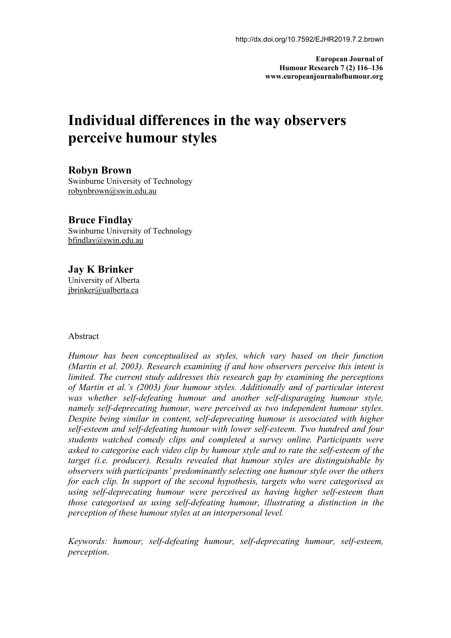**European Journal of Humour Research 7 (2) 116–136 www.europeanjournalofhumour.org**

# **Individual differences in the way observers perceive humour styles**

### **Robyn Brown**

Swinburne University of Technology [robynbrown@swin.edu.au](mailto:robynbrown@swin.edu.au)

### **Bruce Findlay**

Swinburne University of Technology [bfindlay@swin.edu.au](mailto:bfindlay@swin.edu.au)

### **Jay K Brinker**

University of Alberta [jbrinker@ualberta.ca](mailto:jbrinker@ualberta.ca)

#### Abstract

*Humour has been conceptualised as styles, which vary based on their function (Martin et al. 2003). Research examining if and how observers perceive this intent is limited. The current study addresses this research gap by examining the perceptions of Martin et al.'s (2003) four humour styles. Additionally and of particular interest was whether self-defeating humour and another self-disparaging humour style, namely self-deprecating humour, were perceived as two independent humour styles. Despite being similar in content, self-deprecating humour is associated with higher self-esteem and self-defeating humour with lower self-esteem. Two hundred and four students watched comedy clips and completed a survey online. Participants were asked to categorise each video clip by humour style and to rate the self-esteem of the target (i.e. producer). Results revealed that humour styles are distinguishable by observers with participants' predominantly selecting one humour style over the others for each clip. In support of the second hypothesis, targets who were categorised as using self-deprecating humour were perceived as having higher self-esteem than those categorised as using self-defeating humour, illustrating a distinction in the perception of these humour styles at an interpersonal level.*

*Keywords: humour, self-defeating humour, self-deprecating humour, self-esteem, perception*.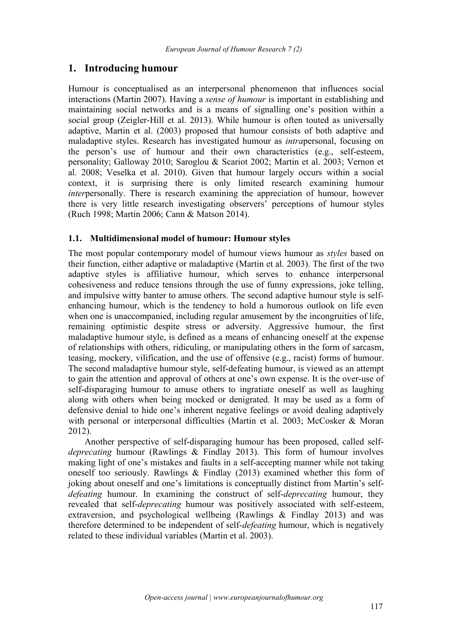## **1. Introducing humour**

Humour is conceptualised as an interpersonal phenomenon that influences social interactions (Martin 2007). Having a *sense of humour* is important in establishing and maintaining social networks and is a means of signalling one's position within a social group (Zeigler-Hill et al. 2013). While humour is often touted as universally adaptive, Martin et al. (2003) proposed that humour consists of both adaptive and maladaptive styles. Research has investigated humour as *intra*personal, focusing on the person's use of humour and their own characteristics (e.g., self-esteem, personality; Galloway 2010; Saroglou & Scariot2002; Martin et al. 2003; Vernon et al. 2008; Veselka et al. 2010). Given that humour largely occurs within a social context, it is surprising there is only limited research examining humour *inter*personally. There is research examining the appreciation of humour, however there is very little research investigating observers' perceptions of humour styles (Ruch 1998; Martin 2006; Cann & Matson 2014).

#### **1.1. Multidimensional model of humour: Humour styles**

The most popular contemporary model of humour views humour as *styles* based on their function, either adaptive or maladaptive (Martin et al. 2003). The first of the two adaptive styles is affiliative humour, which serves to enhance interpersonal cohesiveness and reduce tensions through the use of funny expressions, joke telling, and impulsive witty banter to amuse others. The second adaptive humour style is self enhancing humour, which is the tendency to hold a humorous outlook on life even when one is unaccompanied, including regular amusement by the incongruities of life, remaining optimistic despite stress or adversity. Aggressive humour, the first maladaptive humour style, is defined as a means of enhancing oneself at the expense of relationships with others, ridiculing, or manipulating others in the form of sarcasm, teasing, mockery, vilification, and the use of offensive (e.g., racist) forms of humour. The second maladaptive humour style, self-defeating humour, is viewed as an attempt to gain the attention and approval of others at one's own expense. It is the over-use of self-disparaging humour to amuse others to ingratiate oneself as well as laughing along with others when being mocked or denigrated. It may be used as a form of defensive denial to hide one's inherent negative feelings or avoid dealing adaptively with personal or interpersonal difficulties (Martin et al. 2003; McCosker & Moran 2012).

Another perspective of self-disparaging humour has been proposed, called self *deprecating* humour (Rawlings & Findlay 2013). This form of humour involves making light of one's mistakes and faults in a self-accepting manner while not taking oneself too seriously. Rawlings  $\&$  Findlay (2013) examined whether this form of joking about oneself and one's limitations is conceptually distinct from Martin's self *defeating* humour. In examining the construct of self-*deprecating* humour, they revealed that self-*deprecating* humour was positively associated with self-esteem, extraversion, and psychological wellbeing (Rawlings & Findlay 2013) and was therefore determined to be independent of self-*defeating* humour, which is negatively related to these individual variables (Martin et al. 2003).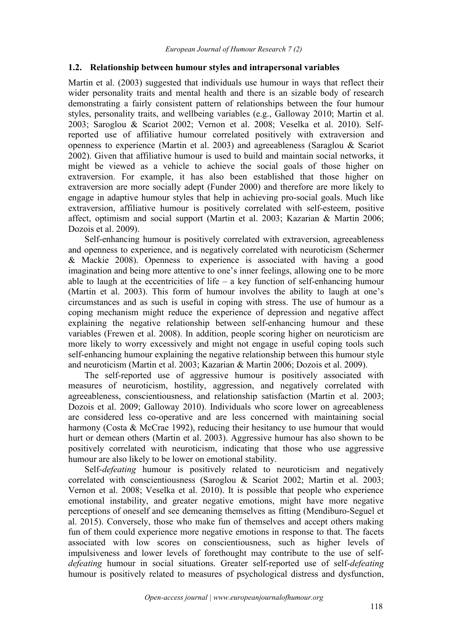#### **1.2. Relationship between humour styles and intrapersonal variables**

Martin et al. (2003) suggested that individuals use humour in ways that reflect their wider personality traits and mental health and there is an sizable body of research demonstrating a fairly consistent pattern of relationships between the four humour styles, personality traits, and wellbeing variables (e.g., Galloway 2010; Martin et al. 2003; Saroglou & Scariot 2002; Vernon et al. 2008; Veselka et al. 2010). Selfreported use of affiliative humour correlated positively with extraversion and openness to experience (Martin et al. 2003) and agreeableness (Saraglou & Scariot 2002). Given that affiliative humour is used to build and maintain social networks, it might be viewed as a vehicle to achieve the social goals of those higher on extraversion. For example, it has also been established that those higher on extraversion are more socially adept (Funder 2000) and therefore are more likely to engage in adaptive humour styles that help in achieving pro-social goals. Much like extraversion, affiliative humour is positively correlated with self-esteem, positive affect, optimism and social support (Martin et al. 2003; Kazarian & Martin 2006; Dozois et al. 2009).

Self-enhancing humour is positively correlated with extraversion, agreeableness and openness to experience, and is negatively correlated with neuroticism (Schermer & Mackie 2008). Openness to experience is associated with having a good imagination and being more attentive to one's inner feelings, allowing one to be more able to laugh at the eccentricities of life – a key function of self-enhancing humour (Martin et al. 2003). This form of humour involves the ability to laugh at one's circumstances and as such is useful in coping with stress. The use of humour as a coping mechanism might reduce the experience of depression and negative affect explaining the negative relationship between self-enhancing humour and these variables (Frewen et al. 2008). In addition, people scoring higher on neuroticism are more likely to worry excessively and might not engage in useful coping tools such self-enhancing humour explaining the negative relationship between this humour style and neuroticism (Martin et al. 2003; Kazarian & Martin 2006; Dozois et al. 2009).

The self-reported use of aggressive humour is positively associated with measures of neuroticism, hostility, aggression, and negatively correlated with agreeableness, conscientiousness, and relationship satisfaction (Martin et al. 2003; Dozois et al. 2009; Galloway 2010). Individuals who score lower on agreeableness are considered less co-operative and are less concerned with maintaining social harmony (Costa & McCrae 1992), reducing their hesitancy to use humour that would hurt or demean others (Martin et al. 2003). Aggressive humour has also shown to be positively correlated with neuroticism, indicating that those who use aggressive humour are also likely to be lower on emotional stability.

Self-*defeating* humour is positively related to neuroticism and negatively correlated with conscientiousness (Saroglou & Scariot 2002; Martin et al. 2003; Vernon et al. 2008; Veselka et al. 2010). It is possible that people who experience emotional instability, and greater negative emotions, might have more negative perceptions of oneself and see demeaning themselves as fitting (Mendiburo-Seguel et al. 2015). Conversely, those who make fun of themselves and accept others making fun of them could experience more negative emotions in response to that. The facets associated with low scores on conscientiousness, such as higher levels of impulsiveness and lower levels of forethought may contribute to the use of self *defeating* humour in social situations. Greater self-reported use of self-*defeating* humour is positively related to measures of psychological distress and dysfunction,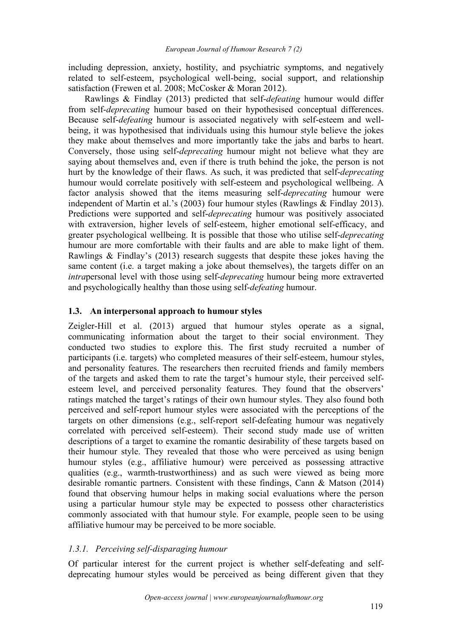including depression, anxiety, hostility, and psychiatric symptoms, and negatively related to self-esteem, psychological well-being, social support, and relationship satisfaction (Frewen et al. 2008; McCosker & Moran 2012).

Rawlings & Findlay (2013) predicted that self-*defeating* humour would differ from self-*deprecating* humour based on their hypothesised conceptual differences. Because self-*defeating* humour is associated negatively with self-esteem and well being, it was hypothesised that individuals using this humour style believe the jokes they make about themselves and more importantly take the jabs and barbs to heart. Conversely, those using self-*deprecating* humour might not believe what they are saying about themselves and, even if there is truth behind the joke, the person is not hurt by the knowledge of their flaws. As such, it was predicted that self-*deprecating* humour would correlate positively with self-esteem and psychological wellbeing. A factor analysis showed that the items measuring self-*deprecating* humour were independent of Martin et al.'s (2003) four humour styles (Rawlings & Findlay 2013). Predictions were supported and self-*deprecating* humour was positively associated with extraversion, higher levels of self-esteem, higher emotional self-efficacy, and greater psychological wellbeing. It is possible that those who utilise self-*deprecating* humour are more comfortable with their faults and are able to make light of them. Rawlings & Findlay's (2013) research suggests that despite these jokes having the same content (i.e. a target making a joke about themselves), the targets differ on an *intra*personal level with those using self-*deprecating* humour being more extraverted and psychologically healthy than those using self-*defeating* humour.

#### **1.3. An interpersonal approach tohumour styles**

Zeigler-Hill et al. (2013) argued that humour styles operate as a signal, communicating information about the target to their social environment. They conducted two studies to explore this. The first study recruited a number of participants (i.e. targets) who completed measures of their self-esteem, humour styles, and personality features. The researchers then recruited friends and family members of the targets and asked them to rate the target's humour style, their perceived self esteem level, and perceived personality features. They found that the observers' ratings matched the target's ratings of their own humour styles. They also found both perceived and self-report humour styles were associated with the perceptions of the targets on other dimensions (e.g., self-report self-defeating humour was negatively correlated with perceived self-esteem). Their second study made use of written descriptions of a target to examine the romantic desirability of these targets based on their humour style. They revealed that those who were perceived as using benign humour styles (e.g., affiliative humour) were perceived as possessing attractive qualities (e.g., warmth-trustworthiness) and as such were viewed as being more desirable romantic partners. Consistent with these findings, Cann & Matson (2014) found that observing humour helps in making social evaluations where the person using a particular humour style may be expected to possess other characteristics commonly associated with that humour style. For example, people seen to be using affiliative humour may be perceived to be more sociable.

### *1.3.1. Perceiving self-disparaging humour*

Of particular interest for the current project is whether self-defeating and self deprecating humour styles would be perceived as being different given that they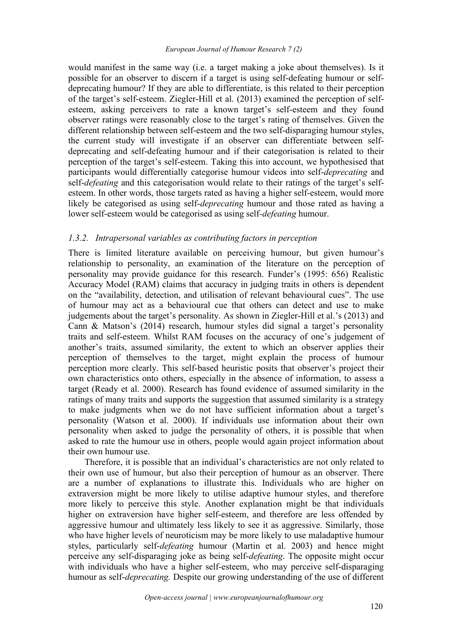would manifest in the same way (i.e. a target making a joke about themselves). Is it possible for an observer to discern if a target is using self-defeating humour or self deprecating humour? If they are able to differentiate, is this related to their perception of the target's self-esteem. Ziegler-Hill et al. (2013) examined the perception of self esteem, asking perceivers to rate a known target's self-esteem and they found observer ratings were reasonably close to the target's rating of themselves. Given the different relationship between self-esteem and the two self-disparaging humour styles, the current study will investigate if an observer can differentiate between self deprecating and self-defeating humour and if their categorisation is related to their perception of the target's self-esteem. Taking this into account, we hypothesised that participants would differentially categorise humour videos into self-*deprecating* and self-*defeating* and this categorisation would relate to their ratings of the target's self esteem. In other words, those targets rated as having a higher self-esteem, would more likely be categorised as using self-*deprecating* humour and those rated as having a lower self-esteem would be categorised as using self*-defeating* humour.

#### *1.3.2. Intrapersonal variables as contributing factors in perception*

There is limited literature available on perceiving humour, but given humour's relationship to personality, an examination of the literature on the perception of personality may provide guidance for this research. Funder's (1995: 656) Realistic Accuracy Model (RAM) claims that accuracy in judging traits in others is dependent on the "availability, detection, and utilisation of relevant behavioural cues". The use of humour may act as a behavioural cue that others can detect and use to make judgements about the target's personality. As shown in Ziegler-Hill et al.'s (2013) and Cann & Matson's (2014) research, humour styles did signal a target's personality traits and self-esteem. Whilst RAM focuses on the accuracy of one's judgement of another's traits, assumed similarity, the extent to which an observer applies their perception of themselves to the target, might explain the process of humour perception more clearly. This self-based heuristic posits that observer's project their own characteristics onto others, especially in the absence of information, to assess a target (Ready et al. 2000). Research has found evidence of assumed similarity in the ratings of many traits and supports the suggestion that assumed similarity is a strategy to make judgments when we do not have sufficient information about a target's personality (Watson et al. 2000). If individuals use information about their own personality when asked to judge the personality of others, it is possible that when asked to rate the humour use in others, people would again project information about their own humour use.

Therefore, it is possible that an individual's characteristics are not only related to their own use of humour, but also their perception of humour as an observer. There are a number of explanations to illustrate this. Individuals who are higher on extraversion might be more likely to utilise adaptive humour styles, and therefore more likely to perceive this style.Another explanation might be that individuals higher on extraversion have higher self-esteem, and therefore are less offended by aggressive humour and ultimately less likely to see it as aggressive. Similarly, those who have higher levels of neuroticism may be more likely to use maladaptive humour styles, particularly self-*defeating* humour (Martin et al. 2003) and hence might perceive any self-disparaging joke as being self-*defeating*. The opposite might occur with individuals who have a higher self-esteem, who may perceive self-disparaging humour as self-*deprecating.* Despite our growing understanding of the use of different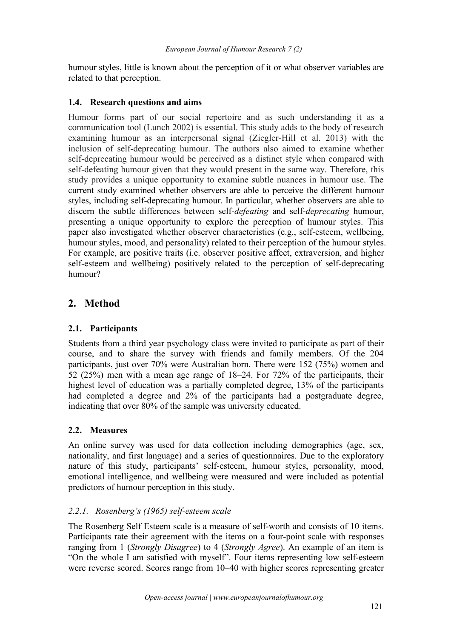humour styles, little is known about the perception of it or what observer variables are related to that perception.

### **1.4. Research questions and aims**

Humour forms part of our social repertoire and as such understanding it as a communication tool (Lunch 2002) is essential. This study adds to the body of research examining humour as an interpersonal signal (Ziegler-Hill et al. 2013) with the inclusion of self-deprecating humour. The authors also aimed to examine whether self-deprecating humour would be perceived as a distinct style when compared with self-defeating humour given that they would present in the same way. Therefore, this study provides a unique opportunity to examine subtle nuances in humour use. The current study examined whether observers are able to perceive the different humour styles, including self-deprecating humour. In particular, whether observers are able to discern the subtle differences between self-*defeating* and self-*deprecating* humour, presenting a unique opportunity to explore the perception of humour styles. This paper also investigated whether observer characteristics (e.g., self-esteem, wellbeing, humour styles, mood, and personality) related to their perception of the humour styles. For example, are positive traits (i.e. observer positive affect, extraversion, and higher self-esteem and wellbeing) positively related to the perception of self-deprecating humour?

# **2. Method**

## **2.1. Participants**

Students from a third year psychology class were invited to participate as part of their course, and to share the survey with friends and family members. Of the 204 participants, just over 70% were Australian born. There were 152 (75%) women and 52 (25%) men with a mean age range of 18–24. For 72% of the participants, their highest level of education was a partially completed degree, 13% of the participants had completed a degree and 2% of the participants had a postgraduate degree, indicating that over 80% of the sample was university educated.

## **2.2. Measures**

An online survey was used for data collection including demographics (age, sex, nationality, and first language) and a series of questionnaires. Due to the exploratory nature of this study, participants' self-esteem, humour styles, personality, mood, emotional intelligence, and wellbeing were measured and were included as potential predictors of humour perception in this study.

## *2.2.1. Rosenberg's (1965) self-esteem scale*

The Rosenberg Self Esteem scale is a measure of self-worth and consists of10 items. Participants rate their agreement with the items on a four-point scale with responses ranging from 1 (*Strongly Disagree*) to 4 (*Strongly Agree*). An example of an item is "On the whole I am satisfied with myself". Four items representing low self-esteem were reverse scored. Scores range from 10–40 with higher scores representing greater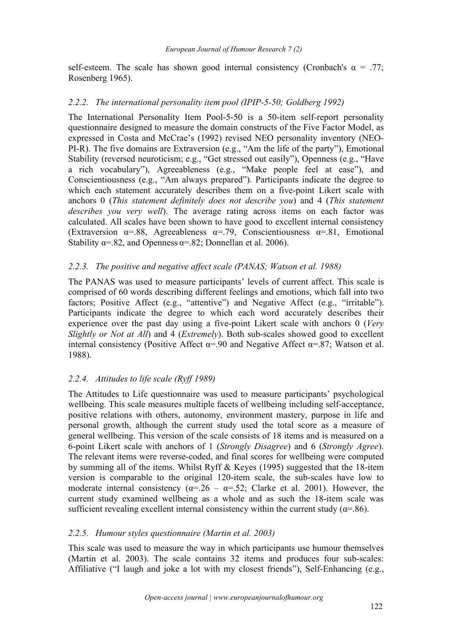self-esteem. The scale has shown good internal consistency (Cronbach's  $\alpha = .77$ ; Rosenberg 1965).

#### *2.2.2. The international personality item pool (IPIP-5-50; Goldberg 1992)*

The International Personality Item Pool-5-50 is a 50-item self-report personality questionnaire designed to measure the domain constructs of the Five Factor Model, as expressed in Costa and McCrae's (1992) revised NEO personality inventory (NEO- PI-R). The five domains are Extraversion (e.g., "Am the life of the party"), Emotional Stability (reversed neuroticism; e.g., "Get stressed out easily"), Openness (e.g., "Have a rich vocabulary"), Agreeableness (e.g., "Make people feel at ease"), and Conscientiousness (e.g., "Am always prepared"). Participants indicate the degree to which each statement accurately describes them on a five-point Likert scale with anchors 0 (*This statement definitely does not describe you*) and 4 (*This statement describes you very well*). The average rating across items on each factor was calculated. All scales have been shown to have good to excellent internal consistency (Extraversion  $\alpha = .88$ , Agreeableness  $\alpha = .79$ , Conscientiousness  $\alpha = .81$ , Emotional Stability  $\alpha = .82$ , and Openness  $\alpha = .82$ ; Donnellan et al. 2006).

### *2.2.3. The positive and negative af ect scale (PANAS; Watson et al. 1988)*

The PANAS was used to measure participants' levels of current affect. This scale is comprised of 60 words describing different feelings and emotions, which fall into two factors; Positive Affect (e.g., "attentive") and Negative Affect (e.g., "irritable"). Participants indicate the degree to which each word accurately describes their experience over the past day using a five-point Likert scale with anchors 0 (*Very Slightly or Not at All*) and 4 (*Extremely*). Both sub-scales showed good to excellent internal consistency (Positive Affect  $\alpha = .90$  and Negative Affect  $\alpha = .87$ ; Watson et al. 1988).

### *2.2.4. Attitudes to life scale (Ryf 1989)*

The Attitudes to Life questionnaire was used to measure participants' psychological wellbeing. This scale measures multiple facets of wellbeing including self-acceptance, positive relations with others, autonomy, environment mastery, purpose in life and personal growth, although the current study used the total score as a measure of general wellbeing. This version of the scale consists of 18 items and is measured on a 6-point Likert scale with anchors of 1 (*Strongly Disagree*) and 6 (*Strongly Agree*). The relevant items were reverse-coded, and final scores for wellbeing were computed by summing all of the items. Whilst Ryff & Keyes (1995) suggested that the 18-item version is comparable to the original 120-item scale, the sub-scales have low to moderate internal consistency ( $\alpha = 0.26 - \alpha = 0.52$ ; Clarke et al. 2001). However, the current study examined wellbeing as a whole and as such the 18-item scale was sufficient revealing excellent internal consistency within the current study ( $\alpha$ =.86).

#### *2.2.5. Humour styles questionnaire (Martin et al. 2003)*

This scale was used to measure the way in which participants use humour themselves (Martin et al. 2003). The scale contains 32 items and produces four sub-scales: Affiliative ("I laugh and joke a lot with my closest friends"), Self-Enhancing (e.g.,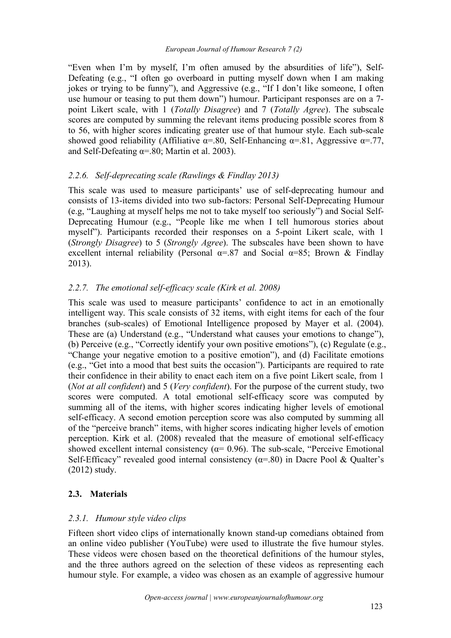"Even when I'm by myself, I'm often amused by the absurdities of life"), Self- Defeating (e.g., "I often go overboard in putting myself down when I am making jokes or trying to be funny"), and Aggressive (e.g., "If I don't like someone, I often use humour or teasing to put them down") humour. Participant responses are on a 7 point Likert scale, with 1 (*Totally Disagree*) and 7 (*Totally Agree*). The subscale scores are computed by summing the relevant items producing possible scores from 8 to 56, with higher scores indicating greater use of that humour style. Each sub-scale showed good reliability (Affiliative  $\alpha$ =.80, Self-Enhancing  $\alpha$ =.81, Aggressive  $\alpha$ =.77, and Self-Defeating  $\alpha$ =.80; Martin et al. 2003).

## *2.2.6. Self-deprecating scale (Rawlings & Findlay 2013)*

This scale was used to measure participants' use of self-deprecating humour and consists of 13-items divided into two sub-factors: Personal Self-Deprecating Humour (e.g, "Laughing at myself helps me not to take myself too seriously") and Social Self- Deprecating Humour (e.g., "People like me when I tell humorous stories about myself"). Participants recorded their responses on a 5-point Likert scale, with 1 (*Strongly Disagree*) to 5 (*Strongly Agree*). The subscales have been shown to have excellent internal reliability (Personal  $\alpha = 87$  and Social  $\alpha = 85$ ; Brown & Findlay 2013).

## *2.2.7. The emotional self-ef icacy scale (Kirk et al. 2008)*

This scale was used to measure participants' confidence to act in an emotionally intelligent way. This scale consists of 32 items, with eight items for each of the four branches (sub-scales) of Emotional Intelligence proposed by Mayer et al. (2004). These are (a) Understand (e.g., "Understand what causes your emotions to change"), (b) Perceive (e.g., "Correctly identify your own positive emotions"), (c) Regulate (e.g., "Change your negative emotion to a positive emotion"), and (d) Facilitate emotions (e.g., "Get into a mood that best suits the occasion"). Participants are required to rate their confidence in their ability to enact each item on a five point Likert scale, from 1 (*Not at all confident*) and 5 (*Very confident*). For the purpose of the current study, two scores were computed. A total emotional self-efficacy score was computed by summing all of the items, with higher scores indicating higher levels of emotional self-efficacy. A second emotion perception score was also computed by summing all of the "perceive branch" items, with higher scores indicating higher levels of emotion perception. Kirk et al. (2008) revealed that the measure of emotional self-efficacy showed excellent internal consistency ( $\alpha$ = 0.96). The sub-scale, "Perceive Emotional Self-Efficacy" revealed good internal consistency  $(\alpha = .80)$  in Dacre Pool & Qualter's (2012) study.

## **2.3. Materials**

## *2.3.1. Humour style video clips*

Fifteen short video clips of internationally known stand-up comedians obtained from an online video publisher (YouTube) were used to illustrate the five humour styles. These videos were chosen based on the theoretical definitions of the humour styles, and the three authors agreed on the selection of these videos as representing each humour style. For example, a video was chosen as an example of aggressive humour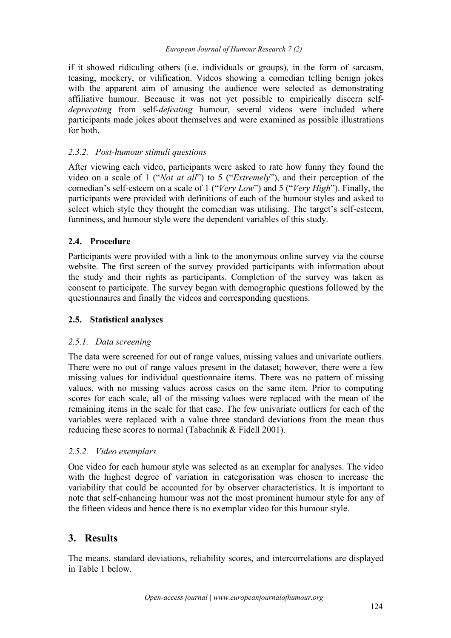if it showed ridiculing others (i.e. individuals or groups), in the form of sarcasm, teasing, mockery, or vilification. Videos showing a comedian telling benign jokes with the apparent aim of amusing the audience were selected as demonstrating affiliative humour. Because it was not yet possible to empirically discern self *deprecating* from self-*defeating* humour, several videos were included where participants made jokes about themselves and were examined as possible illustrations for both.

# *2.3.2. Post-humour stimuli questions*

After viewing each video, participants were asked to rate how funny they found the video on a scale of 1 ("*Not at all*") to 5 ("*Extremely*"), and their perception of the comedian's self-esteem on a scale of 1 ("*Very Low*") and 5 ("*Very High*"). Finally, the participants were provided with definitions of each of the humour styles and asked to select which style they thought the comedian was utilising. The target's self-esteem, funniness, and humour style were the dependent variables of this study.

# **2.4. Procedure**

Participants were provided with a link to the anonymous online survey via the course website. The first screen of the survey provided participants with information about the study and their rights as participants. Completion of the survey was taken as consent to participate.The survey began with demographic questions followed by the questionnaires and finally the videos and corresponding questions.

# **2.5. Statistical analyses**

## *2.5.1. Data screening*

The data were screened for out of range values, missing values and univariate outliers. There were no out of range values present in the dataset; however, there were a few missing values for individual questionnaire items. There was no pattern of missing values, with no missing values across cases on the same item. Prior to computing scores for each scale, all of the missing values were replaced with the mean of the remaining items in the scale for that case. The few univariate outliers for each of the variables were replaced with a value three standard deviations from the mean thus reducing these scores to normal (Tabachnik & Fidell 2001).

## *2.5.2. Video exemplars*

One video for each humour style was selected as an exemplar for analyses. The video with the highest degree of variation in categorisation was chosen to increase the variability that could be accounted for by observer characteristics. It is important to note that self-enhancing humour was not the most prominent humour style for any of the fifteen videos and hence there is no exemplar video for this humour style.

# **3. Results**

The means, standard deviations, reliability scores, and intercorrelations are displayed in Table 1 below.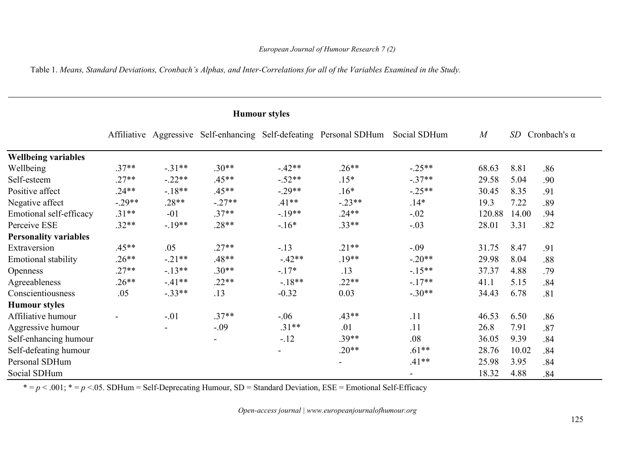Table 1. Means, Standard Deviations, Cronbach's Alphas, and Inter-Correlations for all of the Variables Examined in the Study.

### **Humour styles**

|                              |                          |          |          |                          | Affiliative Aggressive Self-enhancing Self-defeating Personal SDHum Social SDHum |          | M      |       | SD Cronbach's $\alpha$ |
|------------------------------|--------------------------|----------|----------|--------------------------|----------------------------------------------------------------------------------|----------|--------|-------|------------------------|
| <b>Wellbeing variables</b>   |                          |          |          |                          |                                                                                  |          |        |       |                        |
| Wellbeing                    | $.37**$                  | $-.31**$ | $.30**$  | $-.42**$                 | $.26**$                                                                          | $-.25**$ | 68.63  | 8.81  | .86                    |
| Self-esteem                  | $.27**$                  | $-.22**$ | $.45**$  | $-.52**$                 | $.15*$                                                                           | $-.37**$ | 29.58  | 5.04  | .90                    |
| Positive affect              | $.24**$                  | $-18**$  | $.45**$  | $-.29**$                 | $.16*$                                                                           | $-.25**$ | 30.45  | 8.35  | .91                    |
| Negative affect              | $-.29**$                 | $.28**$  | $-.27**$ | $.41**$                  | $-.23**$                                                                         | $.14*$   | 19.3   | 7.22  | .89                    |
| Emotional self-efficacy      | $.31**$                  | $-01$    | $.37**$  | $-.19**$                 | $.24**$                                                                          | $-.02$   | 120.88 | 14.00 | .94                    |
| Perceive ESE                 | $.32**$                  | $-.19**$ | $.28**$  | $-.16*$                  | $.33**$                                                                          | $-.03$   | 28.01  | 3.31  | .82                    |
| <b>Personality variables</b> |                          |          |          |                          |                                                                                  |          |        |       |                        |
| Extraversion                 | $.45**$                  | .05      | $.27**$  | $-.13$                   | $.21**$                                                                          | $-.09$   | 31.75  | 8.47  | .91                    |
| Emotional stability          | $.26**$                  | $-.21**$ | $.48**$  | $-.42**$                 | $.19**$                                                                          | $-.20**$ | 29.98  | 8.04  | .88                    |
| <b>Openness</b>              | $.27**$                  | $-13**$  | $.30**$  | $-.17*$                  | .13                                                                              | $-15**$  | 37.37  | 4.88  | .79                    |
| Agreeableness                | $.26**$                  | $-.41**$ | $.22**$  | $-.18**$                 | $.22**$                                                                          | $-17**$  | 41.1   | 5.15  | .84                    |
| Conscientiousness            | .05                      | $-.33**$ | .13      | $-0.32$                  | 0.03                                                                             | $-.30**$ | 34.43  | 6.78  | .81                    |
| <b>Humour styles</b>         |                          |          |          |                          |                                                                                  |          |        |       |                        |
| Affiliative humour           | $\overline{\phantom{a}}$ | $-.01$   | $.37**$  | $-.06$                   | $.43**$                                                                          | .11      | 46.53  | 6.50  | .86                    |
| Aggressive humour            |                          |          | $-.09$   | $.31**$                  | .01                                                                              | .11      | 26.8   | 7.91  | .87                    |
| Self-enhancing humour        |                          |          |          | $-12$                    | $.39**$                                                                          | .08      | 36.05  | 9.39  | .84                    |
| Self-defeating humour        |                          |          |          | $\overline{\phantom{0}}$ | $.20**$                                                                          | $.61**$  | 28.76  | 10.02 | .84                    |
| Personal SDHum               |                          |          |          |                          |                                                                                  | $.41**$  | 25.98  | 3.95  | .84                    |
| Social SDHum                 |                          |          |          |                          |                                                                                  |          | 18.32  | 4.88  | .84                    |

 $* = p < .001; * = p < .05$ . SDHum = Self-Deprecating Humour, SD = Standard Deviation, ESE = Emotional Self-Efficacy

*Open-access journal | www.europeanjournalofhumour.org*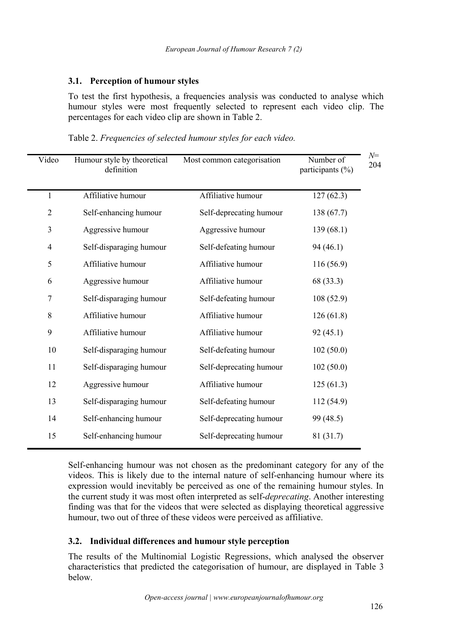### **3.1. Perception of humour styles**

To test the first hypothesis, a frequencies analysis was conducted to analyse which humour styles were most frequently selected to represent each video clip. The percentages for each video clip are shown in Table 2.

| Video          | Humour style by theoretical<br>definition | Most common categorisation | Number of<br>participants (%) | $N =$<br>204 |
|----------------|-------------------------------------------|----------------------------|-------------------------------|--------------|
|                | Affiliative humour                        | Affiliative humour         | 127(62.3)                     |              |
| $\overline{2}$ | Self-enhancing humour                     | Self-deprecating humour    | 138(67.7)                     |              |
| $\mathfrak{Z}$ | Aggressive humour                         | Aggressive humour          | 139(68.1)                     |              |
| $\overline{4}$ | Self-disparaging humour                   | Self-defeating humour      | 94(46.1)                      |              |
| 5              | Affiliative humour                        | Affiliative humour         | 116(56.9)                     |              |
| 6              | Aggressive humour                         | Affiliative humour         | 68 (33.3)                     |              |
| $\tau$         | Self-disparaging humour                   | Self-defeating humour      | 108(52.9)                     |              |
| 8              | Affiliative humour                        | Affiliative humour         | 126(61.8)                     |              |
| 9              | Affiliative humour                        | Affiliative humour         | 92(45.1)                      |              |
| $10\,$         | Self-disparaging humour                   | Self-defeating humour      | 102(50.0)                     |              |
| 11             | Self-disparaging humour                   | Self-deprecating humour    | 102(50.0)                     |              |
| 12             | Aggressive humour                         | Affiliative humour         | 125(61.3)                     |              |
| 13             | Self-disparaging humour                   | Self-defeating humour      | 112 (54.9)                    |              |
| 14             | Self-enhancing humour                     | Self-deprecating humour    | 99 (48.5)                     |              |
| 15             | Self-enhancing humour                     | Self-deprecating humour    | 81 (31.7)                     |              |
|                |                                           |                            |                               |              |

Self-enhancing humour was not chosen as the predominant category for any of the videos. This is likely due to the internal nature of self-enhancing humour where its expression would inevitably be perceived as one of the remaining humour styles. In the current study it was most often interpreted as self-*deprecating*. Another interesting finding was that for the videos that were selected as displaying theoretical aggressive humour, two out of three of these videos were perceived as affiliative.

### **3.2. Individual differences and humour style perception**

The results of the Multinomial Logistic Regressions, which analysed the observer characteristics that predicted the categorisation of humour, are displayed in Table 3 below.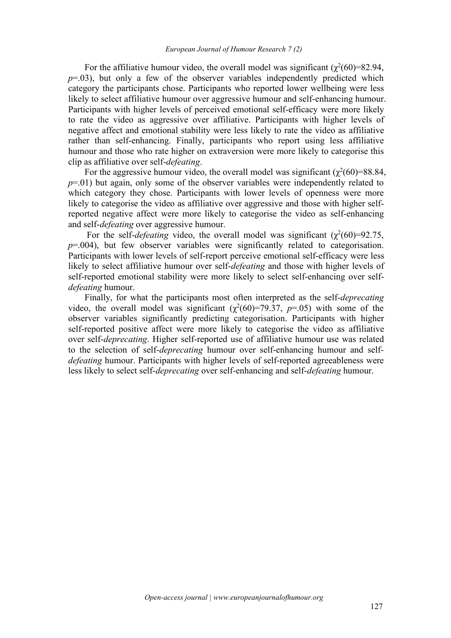For the affiliative humour video, the overall model was significant  $(\chi^2(60)=82.94,$  $p=0.03$ ), but only a few of the observer variables independently predicted which category the participants chose. Participants who reported lower wellbeing were less likely to select affiliative humour over aggressive humour and self-enhancing humour. Participants with higher levels of perceived emotional self-efficacy were more likely to rate the video as aggressive over affiliative. Participants with higher levels of negative affect and emotional stability were less likely to rate the video as affiliative rather than self-enhancing. Finally, participants who report using less affiliative humour and those who rate higher on extraversion were more likely to categorise this clip as affiliative over self-*defeating*.

For the aggressive humour video, the overall model was significant  $(\chi^2(60)=88.84,$ *p*=.01) but again, only some of the observer variables were independently related to which category they chose. Participants with lower levels of openness were more likely to categorise the video as affiliative over aggressive and those with higher selfreported negative affect were more likely to categorise the video as self-enhancing and self-*defeating* over aggressive humour.<br>For the self-*defeating* video, the overall model was significant ( $\chi^2(60)=92.75$ ,

*p*=.004), but few observer variables were significantly related to categorisation. Participants with lower levels of self-report perceive emotional self-efficacy were less likely to select affiliative humour over self-*defeating* and those with higher levels of self-reported emotional stability were more likely to select self-enhancing over self *defeating* humour.

Finally, for what the participants most often interpreted as the self-*deprecating* video, the overall model was significant  $(\chi^2(60)=79.37, p=.05)$  with some of the observer variables significantly predicting categorisation. Participants with higher self-reported positive affect were more likely to categorise the video as affiliative over self-*deprecating*. Higher self-reported use of affiliative humour use was related to the selection of self-*deprecating* humour over self-enhancing humour and self *defeating* humour. Participants with higher levels of self-reported agreeableness were less likely to select self-*deprecating* over self-enhancing and self-*defeating* humour.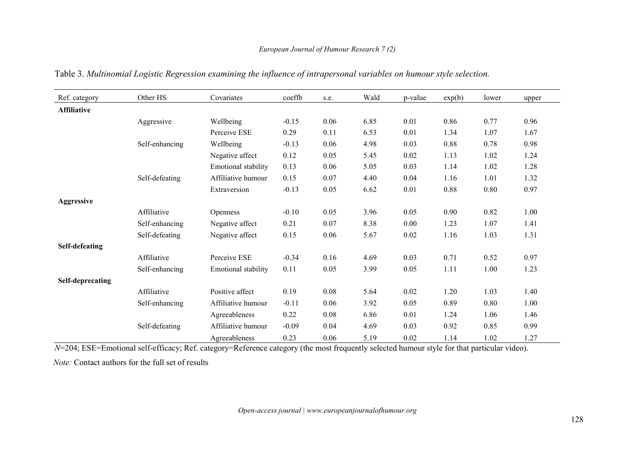| Ref. category      | Other HS       | Covariates          | coeffb  | s.e. | Wald | p-value  | exp(b) | lower | upper |
|--------------------|----------------|---------------------|---------|------|------|----------|--------|-------|-------|
| <b>Affiliative</b> |                |                     |         |      |      |          |        |       |       |
|                    | Aggressive     | Wellbeing           | $-0.15$ | 0.06 | 6.85 | 0.01     | 0.86   | 0.77  | 0.96  |
|                    |                | Perceive ESE        | 0.29    | 0.11 | 6.53 | $0.01\,$ | 1.34   | 1.07  | 1.67  |
|                    | Self-enhancing | Wellbeing           | $-0.13$ | 0.06 | 4.98 | 0.03     | 0.88   | 0.78  | 0.98  |
|                    |                | Negative affect     | 0.12    | 0.05 | 5.45 | 0.02     | 1.13   | 1.02  | 1.24  |
|                    |                | Emotional stability | 0.13    | 0.06 | 5.05 | 0.03     | 1.14   | 1.02  | 1.28  |
|                    | Self-defeating | Affiliative humour  | 0.15    | 0.07 | 4.40 | 0.04     | 1.16   | 1.01  | 1.32  |
|                    |                | Extraversion        | $-0.13$ | 0.05 | 6.62 | 0.01     | 0.88   | 0.80  | 0.97  |
| Aggressive         |                |                     |         |      |      |          |        |       |       |
|                    | Affiliative    | Openness            | $-0.10$ | 0.05 | 3.96 | 0.05     | 0.90   | 0.82  | 1.00  |
|                    | Self-enhancing | Negative affect     | 0.21    | 0.07 | 8.38 | 0.00     | 1.23   | 1.07  | 1.41  |
|                    | Self-defeating | Negative affect     | 0.15    | 0.06 | 5.67 | 0.02     | 1.16   | 1.03  | 1.31  |
| Self-defeating     |                |                     |         |      |      |          |        |       |       |
|                    | Affiliative    | Perceive ESE        | $-0.34$ | 0.16 | 4.69 | 0.03     | 0.71   | 0.52  | 0.97  |
|                    | Self-enhancing | Emotional stability | 0.11    | 0.05 | 3.99 | 0.05     | 1.11   | 1.00  | 1.23  |
| Self-deprecating   |                |                     |         |      |      |          |        |       |       |
|                    | Affiliative    | Positive affect     | 0.19    | 0.08 | 5.64 | 0.02     | 1.20   | 1.03  | 1.40  |
|                    | Self-enhancing | Affiliative humour  | $-0.11$ | 0.06 | 3.92 | 0.05     | 0.89   | 0.80  | 1.00  |
|                    |                | Agreeableness       | 0.22    | 0.08 | 6.86 | 0.01     | 1.24   | 1.06  | 1.46  |
|                    | Self-defeating | Affiliative humour  | $-0.09$ | 0.04 | 4.69 | 0.03     | 0.92   | 0.85  | 0.99  |
|                    |                | Agreeableness       | 0.23    | 0.06 | 5.19 | 0.02     | 1.14   | 1.02  | 1.27  |

Table 3. *Multinomial Logistic Regression examining the influence of intrapersonal variables on humour style selection.*

*N*=204; ESE=Emotional self-efficacy; Ref. category=Reference category (the most frequently selected humour style for that particular video).

*Note:* Contact authors for the full set of results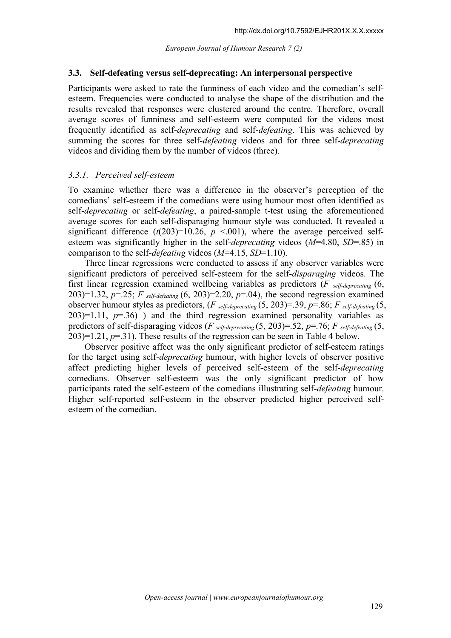#### **3.3. Self-defeating versus self-deprecating: An interpersonal perspective**

Participants were asked to rate the funniness of each video and the comedian's self esteem. Frequencies were conducted to analyse the shape of the distribution and the results revealed that responses were clustered around the centre.Therefore, overall average scores of funniness and self-esteem were computed for the videos most frequently identified as self-*deprecating* and self-*defeating*. This was achieved by summing the scores for three self-*defeating* videos and for three self-*deprecating* videos and dividing them by the number of videos (three).

#### *3.3.1. Perceived self-esteem*

To examine whether there was a difference in the observer's perception of the comedians' self-esteem if the comedians were using humour most often identified as self-*deprecating* or self-*defeating*, a paired-sample t-test using the aforementioned average scores for each self-disparaging humour style was conducted. It revealed a significant difference  $(t(203)=10.26, p \le 0.001)$ , where the average perceived selfesteem was significantly higher in the self-*deprecating* videos (*M*=4.80, *SD*=.85) in comparison to the self-*defeating* videos (*M*=4.15, *SD*=1.10).

Three linear regressions were conducted to assess if any observer variables were significant predictors of perceived self-esteem for the self-*disparaging* videos. The first linear regression examined wellbeing variables as predictors (*F self-deprecating* (6, 203)=1.32, *p*=.25; *F self-defeating* (6, 203)=2.20, *p*=.04), the second regression examined observer humour styles as predictors, (*F self-deprecating* (5, 203)=.39, *p*=.86; *F self-defeating* (5,  $203$ =1.11,  $p=36$ ) and the third regression examined personality variables as predictors of self-disparaging videos ( $F$  *self-deprecating* (5, 203)=.52,  $p=76$ ;  $F$  *self-defeating* (5,  $203$ )=1.21,  $p$ =.31). These results of the regression can be seen in Table 4 below.

Observer positive affect was the only significant predictor of self-esteem ratings for the target using self-*deprecating* humour, with higher levels of observer positive affect predicting higher levels of perceived self-esteem of the self-*deprecating* comedians. Observer self-esteem was the only significant predictor of how participants rated the self-esteem of the comedians illustrating self-*defeating* humour. Higher self-reported self-esteem in the observer predicted higher perceived self esteem of the comedian.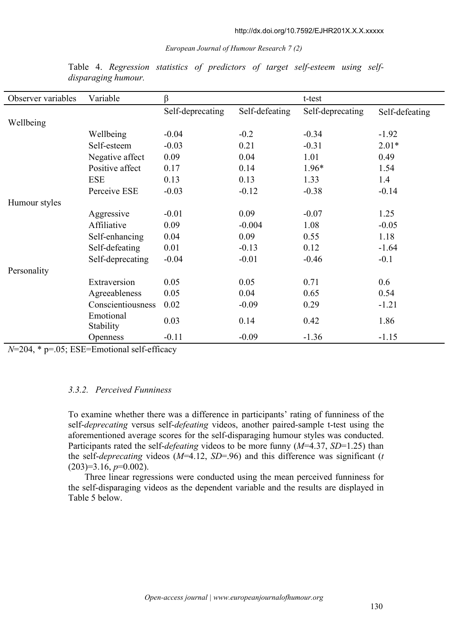| Observer variables | Variable                      | β                |                | t-test           |                |
|--------------------|-------------------------------|------------------|----------------|------------------|----------------|
|                    |                               | Self-deprecating | Self-defeating | Self-deprecating | Self-defeating |
| Wellbeing          |                               |                  |                |                  |                |
|                    | Wellbeing                     | $-0.04$          | $-0.2$         | $-0.34$          | $-1.92$        |
|                    | Self-esteem                   | $-0.03$          | 0.21           | $-0.31$          | $2.01*$        |
|                    | Negative affect               | 0.09             | 0.04           | 1.01             | 0.49           |
|                    | Positive affect               | 0.17             | 0.14           | $1.96*$          | 1.54           |
|                    | <b>ESE</b>                    | 0.13             | 0.13           | 1.33             | 1.4            |
|                    | Perceive ESE                  | $-0.03$          | $-0.12$        | $-0.38$          | $-0.14$        |
| Humour styles      |                               |                  |                |                  |                |
|                    | Aggressive                    | $-0.01$          | 0.09           | $-0.07$          | 1.25           |
|                    | Affiliative                   | 0.09             | $-0.004$       | 1.08             | $-0.05$        |
|                    | Self-enhancing                | 0.04             | 0.09           | 0.55             | 1.18           |
|                    | Self-defeating                | 0.01             | $-0.13$        | 0.12             | $-1.64$        |
|                    | Self-deprecating              | $-0.04$          | $-0.01$        | $-0.46$          | $-0.1$         |
| Personality        |                               |                  |                |                  |                |
|                    | Extraversion                  | 0.05             | 0.05           | 0.71             | 0.6            |
|                    | Agreeableness                 | 0.05             | 0.04           | 0.65             | 0.54           |
|                    | Conscientiousness             | 0.02             | $-0.09$        | 0.29             | $-1.21$        |
|                    | Emotional<br><b>Stability</b> | 0.03             | 0.14           | 0.42             | 1.86           |
|                    | <b>Openness</b>               | $-0.11$          | $-0.09$        | $-1.36$          | $-1.15$        |

Table 4. *Regression statistics of predictors of target self-esteem using self disparaging humour.*

*N*=204, \* p=.05; ESE=Emotional self-efficacy

#### *3.3.2. Perceived Funniness*

To examine whether there was a difference in participants' rating of funniness of the self-*deprecating* versus self-*defeating* videos, another paired-sample t-test using the aforementioned average scores for the self-disparaging humour styles was conducted. Participants rated the self-*defeating* videos to be more funny (*M*=4.37, *SD*=1.25) than the self-*deprecating* videos (*M*=4.12, *SD*=.96) and this difference was significant (*t* (203)=3.16, *p*=0.002).

Three linear regressions were conducted using the mean perceived funniness for the self-disparaging videos as the dependent variable and the results are displayed in Table 5 below.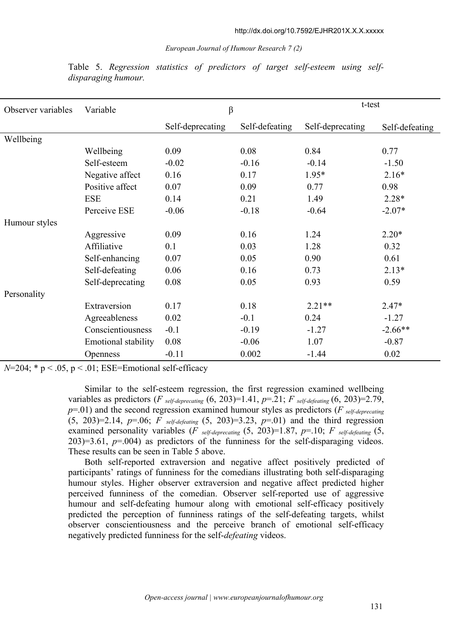| Observer variables | Variable                   | $\beta$          |                | t-test           |                |  |
|--------------------|----------------------------|------------------|----------------|------------------|----------------|--|
|                    |                            | Self-deprecating | Self-defeating | Self-deprecating | Self-defeating |  |
| Wellbeing          |                            |                  |                |                  |                |  |
|                    | Wellbeing                  | 0.09             | 0.08           | 0.84             | 0.77           |  |
|                    | Self-esteem                | $-0.02$          | $-0.16$        | $-0.14$          | $-1.50$        |  |
|                    | Negative affect            | 0.16             | 0.17           | $1.95*$          | $2.16*$        |  |
|                    | Positive affect            | 0.07             | 0.09           | 0.77             | 0.98           |  |
|                    | <b>ESE</b>                 | 0.14             | 0.21           | 1.49             | $2.28*$        |  |
|                    | Perceive ESE               | $-0.06$          | $-0.18$        | $-0.64$          | $-2.07*$       |  |
| Humour styles      |                            |                  |                |                  |                |  |
|                    | Aggressive                 | 0.09             | 0.16           | 1.24             | $2.20*$        |  |
|                    | Affiliative                | 0.1              | 0.03           | 1.28             | 0.32           |  |
|                    | Self-enhancing             | 0.07             | 0.05           | 0.90             | 0.61           |  |
|                    | Self-defeating             | 0.06             | 0.16           | 0.73             | $2.13*$        |  |
|                    | Self-deprecating           | 0.08             | 0.05           | 0.93             | 0.59           |  |
| Personality        |                            |                  |                |                  |                |  |
|                    | Extraversion               | 0.17             | 0.18           | $2.21**$         | $2.47*$        |  |
|                    | Agreeableness              | 0.02             | $-0.1$         | 0.24             | $-1.27$        |  |
|                    | Conscientiousness          | $-0.1$           | $-0.19$        | $-1.27$          | $-2.66**$      |  |
|                    | <b>Emotional stability</b> | 0.08             | $-0.06$        | 1.07             | $-0.87$        |  |
|                    | <b>Openness</b>            | $-0.11$          | 0.002          | $-1.44$          | 0.02           |  |

Table 5. *Regression statistics of predictors of target self-esteem using self disparaging humour.*

 $N=204$ ;  $* p < .05$ ,  $p < .01$ ; ESE=Emotional self-efficacy

Similar to the self-esteem regression, the first regression examined wellbeing variables as predictors (*F self-deprecating* (6, 203)=1.41,  $p=21$ ; *F self-defeating* (6, 203)=2.79, *p*=.01) and the second regression examined humour styles as predictors (*F self-deprecating* (5, 203)=2.14, *p*=.06; *F self-defeating* (5, 203)=3.23, *p*=.01) and the third regression examined personality variables (*F self-deprecating* (5, 203)=1.87, *p*=.10; *F self-defeating* (5, 203)=3.61, *p*=.004) as predictors of the funniness for the self-disparaging videos. These results can be seen in Table 5 above.

Both self-reported extraversion and negative affect positively predicted of participants' ratings of funniness for the comedians illustrating both self-disparaging humour styles. Higher observer extraversion and negative affect predicted higher perceived funniness of the comedian. Observer self-reported use of aggressive humour and self-defeating humour along with emotional self-efficacy positively predicted the perception of funniness ratings of the self-defeating targets, whilst observer conscientiousness and the perceive branch of emotional self-efficacy negatively predicted funniness for the self-*defeating* videos.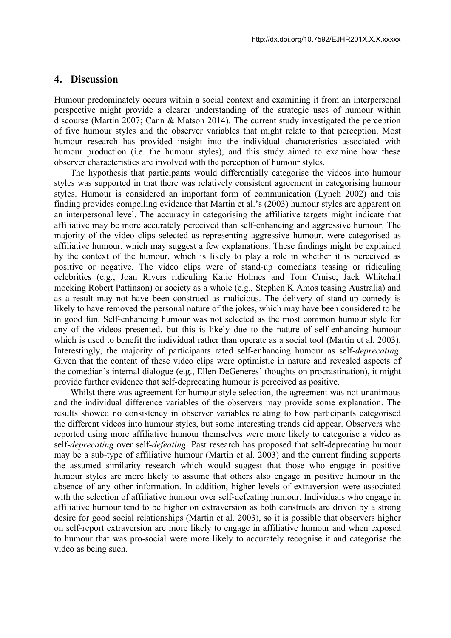#### **4. Discussion**

Humour predominately occurs within a social context and examining it from an interpersonal perspective might provide a clearer understanding of the strategic uses of humour within discourse (Martin 2007; Cann & Matson 2014). The current study investigated the perception of five humour styles and the observer variables that might relate to that perception. Most humour research has provided insight into the individual characteristics associated with humour production (i.e. the humour styles), and this study aimed to examine how these observer characteristics are involved with the perception of humour styles.

The hypothesis that participants would differentially categorise the videos into humour styles was supported in that there was relatively consistent agreement in categorising humour styles. Humour is considered an important form of communication (Lynch 2002) and this finding provides compelling evidence that Martin et al.'s (2003) humour styles are apparent on an interpersonal level. The accuracy in categorising the affiliative targets might indicate that affiliative may be more accurately perceived than self-enhancing and aggressive humour.The majority of the video clips selected as representing aggressive humour, were categorised as affiliative humour, which may suggest a few explanations. These findings might be explained by the context of the humour, which is likely to play a role in whether it is perceived as positive or negative. The video clips were of stand-up comedians teasing or ridiculing celebrities (e.g., Joan Rivers ridiculing Katie Holmes and Tom Cruise, Jack Whitehall mocking Robert Pattinson) or society as a whole (e.g., Stephen K Amos teasing Australia) and as a result may not have been construed as malicious. The delivery of stand-up comedy is likely to have removed the personal nature of the jokes, which may have been considered to be in good fun. Self-enhancing humour was not selected as the most common humour style for any of the videos presented, but this is likely due to the nature of self-enhancing humour which is used to benefit the individual rather than operate as a social tool (Martin et al. 2003). Interestingly, the majority of participants rated self-enhancing humour as self-*deprecating*. Given that the content of these video clips were optimistic in nature and revealed aspects of the comedian's internal dialogue (e.g., Ellen DeGeneres' thoughts on procrastination), it might provide further evidence that self-deprecating humour is perceived as positive.Whilst there was agreement for humour style selection, the agreement was not unanimous

and the individual difference variables of the observers may provide some explanation. The results showed no consistency in observer variables relating to how participants categorised the different videos into humour styles, but some interesting trends did appear. Observers who reported using more affiliative humour themselves were more likely to categorise a video as self-*deprecating* over self-*defeating*. Past research has proposed that self-deprecating humour may be a sub-type of affiliative humour (Martin et al. 2003) and the current finding supports the assumed similarity research which would suggest that those who engage in positive humour styles are more likely to assume that others also engage in positive humour in the absence of any other information. In addition, higher levels of extraversion were associated with the selection of affiliative humour over self-defeating humour. Individuals who engage in affiliative humour tend to be higher on extraversion as both constructs are driven by a strong desire for good social relationships (Martin et al. 2003), so it is possible that observers higher on self-report extraversion are more likely to engage in affiliative humour and when exposed to humour that was pro-social were more likely to accurately recognise it and categorise the video as being such.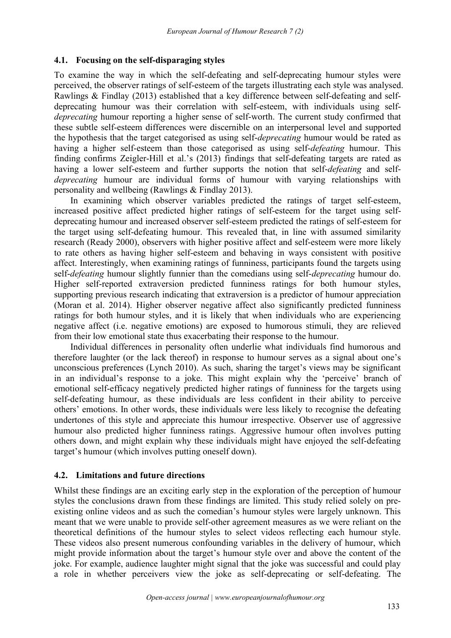#### **4.1. Focusing on the self-disparaging styles**

To examine the way in which the self-defeating and self-deprecating humour styles were perceived, the observer ratings of self-esteem of the targets illustrating each style was analysed. Rawlings & Findlay (2013) established that a key difference between self-defeating and self deprecating humour was their correlation with self-esteem, with individuals using self *deprecating* humour reporting a higher sense of self-worth. The current study confirmed that these subtle self-esteem differences were discernible on an interpersonal level and supported the hypothesis that the target categorised as using self-*deprecating* humour would be rated as having a higher self-esteem than those categorised as using self-*defeating* humour. This finding confirms Zeigler-Hill et al.'s (2013) findings that self-defeating targets are rated as having a lower self-esteem and further supports the notion that self-*defeating* and self *deprecating* humour are individual forms of humour with varying relationships with personality and wellbeing (Rawlings & Findlay 2013).

In examining which observer variables predicted the ratings of target self-esteem, increased positive affect predicted higher ratings of self-esteem for the target using self deprecating humour and increased observer self-esteem predicted the ratings of self-esteem for the target using self-defeating humour. This revealed that, in line with assumed similarity research (Ready 2000), observers with higher positive affect and self-esteem were more likely to rate others as having higher self-esteem and behaving in ways consistent with positive affect. Interestingly, when examining ratings of funniness, participants found the targets using self-*defeating* humour slightly funnier than the comedians using self-*deprecating* humour do.<br>Higher self-reported extraversion predicted funniness ratings for both humour styles, supporting previous research indicating that extraversion is a predictor of humour appreciation (Moran et al. 2014). Higher observer negative affect also significantly predicted funniness ratings for both humour styles, and it is likely that when individuals who are experiencing negative affect (i.e. negative emotions) are exposed to humorous stimuli, they are relieved from their low emotional state thus exacerbating their response to the humour.

Individual differences in personality often underlie what individuals find humorous and therefore laughter (or the lack thereof) in response to humour serves as a signal about one's unconscious preferences (Lynch 2010). As such, sharing the target's views may be significant in an individual's response to a joke. This might explain why the 'perceive' branch of emotional self-efficacy negatively predicted higher ratings of funniness for the targets using self-defeating humour, as these individuals are less confident in their ability to perceive others' emotions. In other words, these individuals were less likely to recognise the defeating undertones of this style and appreciate this humour irrespective. Observer use of aggressive humour also predicted higher funniness ratings. Aggressive humour often involves putting others down, and might explain why these individuals might have enjoyed the self-defeating target's humour (which involves putting oneself down).

#### **4.2. Limitations and future directions**

Whilst these findings are an exciting early step in the exploration of the perception of humour styles the conclusions drawn from these findings are limited. This study relied solely on pre existing online videos and as such the comedian's humour styles were largely unknown. This meant that we were unable to provide self-other agreement measures as we were reliant on the theoretical definitions of the humour styles to select videos reflecting each humour style. These videos also present numerous confounding variables in the delivery of humour, which might provide information about the target's humour style overand above the content of the joke. For example, audience laughter might signal that the joke was successful and could play a role in whether perceivers view the joke as self-deprecating or self-defeating. The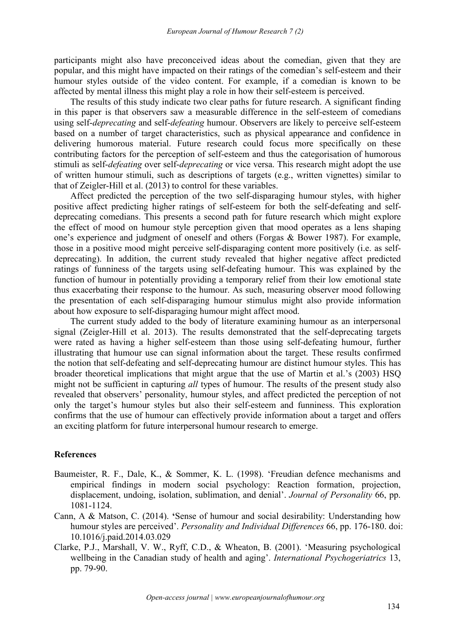participants might also have preconceived ideas about the comedian, given that they are popular, and this might have impacted on their ratings of the comedian's self-esteem and their humour styles outside of the video content. For example, if a comedian is known to be affected by mental illness this might play a role in how their self-esteem is perceived.

The results of this study indicate two clear paths for future research. A significant finding in this paper is that observers saw a measurable difference in the self-esteem of comedians using self-*deprecating* and self-*defeating* humour. Observers are likely to perceive self-esteem based on a number of target characteristics, such as physical appearance and confidence in delivering humorous material. Future research could focus more specifically on these contributing factors for the perception of self-esteem and thus the categorisation of humorous stimuli as self-*defeating* over self-*deprecating* or vice versa. This research might adopt the use of written humour stimuli, such as descriptions of targets (e.g., written vignettes) similar to that of Zeigler-Hill et al. (2013) to control for these variables.

Affect predicted the perception of the two self-disparaging humour styles, with higher positive affect predicting higher ratings of self-esteem for both the self-defeating and self deprecating comedians. This presents a second path for future research which might explore the effect of mood on humour style perception given that mood operates as a lens shaping one's experience and judgment of oneself and others (Forgas & Bower 1987). For example, those in a positive mood might perceive self-disparaging content more positively (i.e. as self deprecating). In addition, the current study revealed that higher negative affect predicted ratings of funniness of the targets using self-defeating humour. This was explained by the function of humour in potentially providing a temporary relief from their low emotional state thus exacerbating their response to the humour. As such, measuring observer mood following the presentation of each self-disparaging humour stimulus might also provide information about how exposure to self-disparaging humour might affect mood.

The current study added to the body of literature examining humour as an interpersonal signal (Zeigler-Hill et al. 2013). The results demonstrated that the self-deprecating targets were rated as having a higher self-esteem than those using self-defeating humour, further illustrating that humour use can signal information about the target. These results confirmed the notion that self-defeating and self-deprecating humour are distinct humour styles. This has broader theoretical implications that might argue that the use of Martin et al.'s (2003) HSQ might not be sufficient in capturing *all* types of humour. The results of the present study also revealed that observers' personality, humour styles, and affect predicted the perception of not only the target's humour styles but also their self-esteem and funniness. This exploration confirms that the use of humour can effectively provide information about a target and offers an exciting platform for future interpersonal humour research to emerge.

#### **References**

- Baumeister, R. F., Dale, K., & Sommer, K. L. (1998). 'Freudian defence mechanisms and empirical findings in modern social psychology: Reaction formation, projection, displacement, undoing, isolation, sublimation, and denial'. *Journal of Personality* 66, pp. 1081-1124.
- Cann, A & Matson, C. (2014). **'**Sense of humour and social desirability: Understanding how humour styles are perceived'. *Personality and Individual Differences* 66, pp. 176-180. doi: 10.1016/j.paid.2014.03.029
- Clarke, P.J., Marshall, V. W., Ryff, C.D., & Wheaton, B. (2001). 'Measuring psychological wellbeing in the Canadian study of health and aging'. *International Psychogeriatrics* 13, pp. 79-90.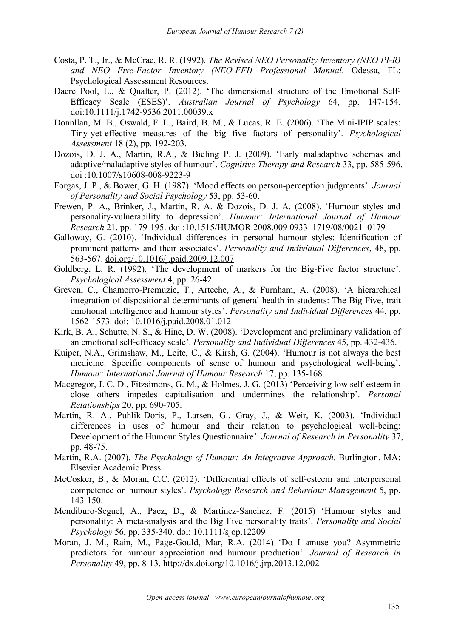- Costa, P. T., Jr., & McCrae, R. R. (1992). *The Revised NEO Personality Inventory (NEO PI-R) and NEO Five-Factor Inventory (NEO-FFI) Professional Manual*. Odessa, FL: Psychological Assessment Resources.
- Dacre Pool, L., & Qualter, P. (2012). 'The dimensional structure of the Emotional Self-Efficacy Scale (ESES)'. *Australian Journal of Psychology* 64, pp. 147-154. doi:10.1111/j.1742-9536.2011.00039.x
- Donnllan, M. B., Oswald, F. L., Baird, B. M., & Lucas, R. E. (2006). 'The Mini-IPIP scales: Tiny-yet-effective measures of the big five factors of personality'. *Psychological Assessment* 18 (2), pp. 192-203.
- Dozois, D. J. A., Martin, R.A., & Bieling P. J. (2009). 'Early maladaptive schemas and adaptive/maladaptive styles of humour'. *Cognitive Therapy and Research* 33, pp. 585-596. doi :10.1007/s10608-008-9223-9
- Forgas, J. P., & Bower, G. H. (1987). 'Mood effects on person-perception judgments'. *Journal of Personality and Social Psychology* 53, pp. 53-60.
- Frewen, P. A., Brinker, J., Martin, R. A. & Dozois, D. J. A. (2008). 'Humour styles and personality-vulnerability to depression'. *Humour: International Journal of Humour Research* 21, pp. 179-195. doi :10.1515/HUMOR.2008.009 0933–1719/08/0021–0179
- Galloway, G. (2010). 'Individual differences in personal humour styles: Identification of prominent patterns and their associates'. *Personality and Individual Differences*, 48, pp. 563-567. [doi.org/10.1016/j.paid.2009.12.007](https://doi.org/10.1016/j.paid.2009.12.007)
- Goldberg, L. R. (1992). 'The development of markers for the Big-Five factor structure'. *Psychological Assessment* 4, pp. 26-42.
- Greven, C., Chamorro-Premuzic, T., Arteche, A., & Furnham, A. (2008). 'A hierarchical integration of dispositional determinants of general health in students: The Big Five, trait emotional intelligence and humour styles'. *Personality and Individual Differences* 44, pp. 1562-1573. doi: 10.1016/j.paid.2008.01.012
- Kirk, B. A., Schutte, N. S., & Hine, D. W. (2008). 'Development and preliminary validation of an emotional self-efficacy scale'. *Personality and Individual Dif erences* 45, pp. 432-436.
- Kuiper, N.A., Grimshaw, M., Leite, C., & Kirsh, G. (2004). 'Humour is not always the best medicine: Specific components of sense of humour and psychological well-being'. *Humour: International Journal of Humour Research* 17, pp. 135-168.
- Macgregor, J. C. D., Fitzsimons, G. M., & Holmes, J. G. (2013) 'Perceiving low self-esteem in close others impedes capitalisation and undermines the relationship'. *Personal Relationships* 20, pp. 690-705.
- Martin, R. A., Puhlik-Doris, P., Larsen, G., Gray, J., & Weir, K. (2003). 'Individual differences in uses of humour and their relation to psychological well-being: Development of the Humour Styles Questionnaire'. *Journal of Research in Personality* 37, pp. 48-75.
- Martin, R.A. (2007). *The Psychology of Humour: An Integrative Approach.* Burlington. MA: Elsevier Academic Press.
- McCosker, B., & Moran, C.C. (2012). 'Differential effects of self-esteem and interpersonal competence on humour styles'. *Psychology Research and Behaviour Management* 5, pp. 143-150.
- Mendiburo-Seguel, A., Paez, D., & Martinez-Sanchez, F. (2015) 'Humour styles and personality: A meta-analysis and the Big Five personality traits'. *Personality and Social Psychology* 56, pp. 335-340. doi: 10.1111/sjop.12209
- Moran, J. M., Rain, M., Page-Gould, Mar, R.A. (2014) 'Do I amuse you? Asymmetric predictors for humour appreciation and humour production'. *Journal of Research in Personality* 49, pp. 8-13. http://dx.doi.org/10.1016/j.jrp.2013.12.002